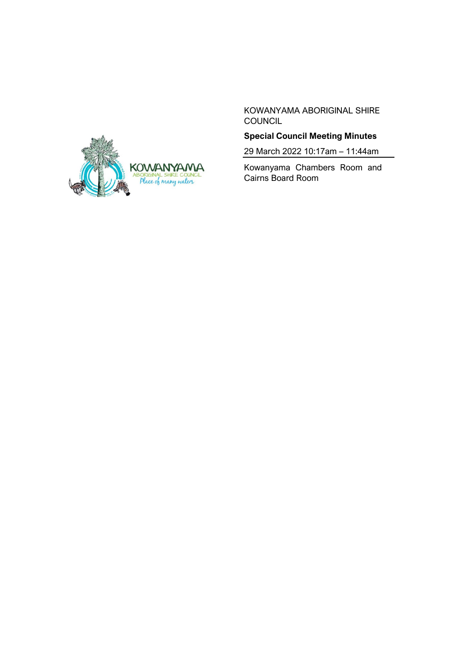

KOWANYAMA ABORIGINAL SHIRE **COUNCIL** 

# **Special Council Meeting Minutes**

29 March 2022 10:17am – 11:44am

Kowanyama Chambers Room and Cairns Board Room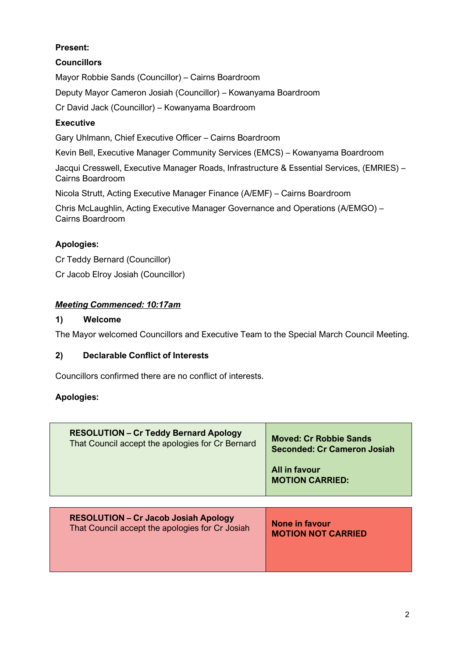# **Present:**

# **Councillors**

Mayor Robbie Sands (Councillor) – Cairns Boardroom

Deputy Mayor Cameron Josiah (Councillor) – Kowanyama Boardroom

Cr David Jack (Councillor) – Kowanyama Boardroom

### **Executive**

Gary Uhlmann, Chief Executive Officer – Cairns Boardroom

Kevin Bell, Executive Manager Community Services (EMCS) – Kowanyama Boardroom

Jacqui Cresswell, Executive Manager Roads, Infrastructure & Essential Services, (EMRIES) – Cairns Boardroom

Nicola Strutt, Acting Executive Manager Finance (A/EMF) – Cairns Boardroom

Chris McLaughlin, Acting Executive Manager Governance and Operations (A/EMGO) – Cairns Boardroom

## **Apologies:**

Cr Teddy Bernard (Councillor)

Cr Jacob Elroy Josiah (Councillor)

### *Meeting Commenced: 10:17am*

### **1) Welcome**

The Mayor welcomed Councillors and Executive Team to the Special March Council Meeting.

#### **2) Declarable Conflict of Interests**

Councillors confirmed there are no conflict of interests.

## **Apologies:**

| <b>RESOLUTION - Cr Teddy Bernard Apology</b>     | <b>Moved: Cr Robbie Sands</b>           |
|--------------------------------------------------|-----------------------------------------|
| That Council accept the apologies for Cr Bernard | <b>Seconded: Cr Cameron Josiah</b>      |
|                                                  | All in favour<br><b>MOTION CARRIED:</b> |

|--|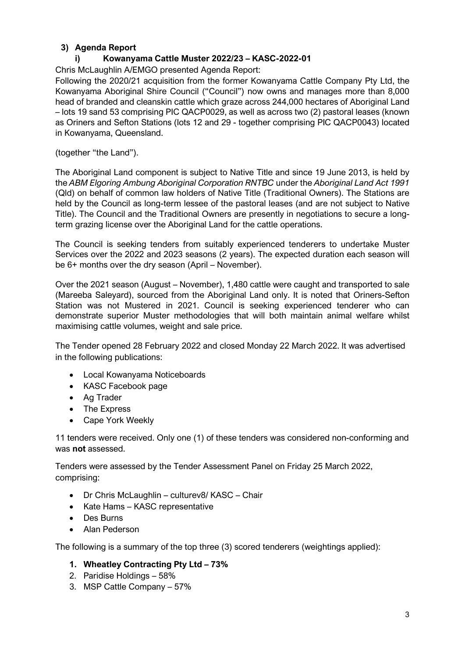## **3) Agenda Report**

### **i) Kowanyama Cattle Muster 2022/23 – KASC-2022-01**

Chris McLaughlin A/EMGO presented Agenda Report:

Following the 2020/21 acquisition from the former Kowanyama Cattle Company Pty Ltd, the Kowanyama Aboriginal Shire Council ("Council") now owns and manages more than 8,000 head of branded and cleanskin cattle which graze across 244,000 hectares of Aboriginal Land – lots 19 sand 53 comprising PIC QACP0029, as well as across two (2) pastoral leases (known as Oriners and Sefton Stations (lots 12 and 29 - together comprising PIC QACP0043) located in Kowanyama, Queensland.

(together "the Land").

The Aboriginal Land component is subject to Native Title and since 19 June 2013, is held by the *ABM Elgoring Ambung Aboriginal Corporation RNTBC* under the *Aboriginal Land Act 1991*  (Qld) on behalf of common law holders of Native Title (Traditional Owners). The Stations are held by the Council as long-term lessee of the pastoral leases (and are not subject to Native Title). The Council and the Traditional Owners are presently in negotiations to secure a longterm grazing license over the Aboriginal Land for the cattle operations.

The Council is seeking tenders from suitably experienced tenderers to undertake Muster Services over the 2022 and 2023 seasons (2 years). The expected duration each season will be 6+ months over the dry season (April – November).

Over the 2021 season (August – November), 1,480 cattle were caught and transported to sale (Mareeba Saleyard), sourced from the Aboriginal Land only. It is noted that Oriners-Sefton Station was not Mustered in 2021. Council is seeking experienced tenderer who can demonstrate superior Muster methodologies that will both maintain animal welfare whilst maximising cattle volumes, weight and sale price.

The Tender opened 28 February 2022 and closed Monday 22 March 2022. It was advertised in the following publications:

- Local Kowanyama Noticeboards
- KASC Facebook page
- Ag Trader
- The Express
- Cape York Weekly

11 tenders were received. Only one (1) of these tenders was considered non-conforming and was **not** assessed.

Tenders were assessed by the Tender Assessment Panel on Friday 25 March 2022, comprising:

- Dr Chris McLaughlin culturev8/ KASC Chair
- Kate Hams KASC representative
- Des Burns
- Alan Pederson

The following is a summary of the top three (3) scored tenderers (weightings applied):

#### **1. Wheatley Contracting Pty Ltd – 73%**

- 2. Paridise Holdings 58%
- 3. MSP Cattle Company 57%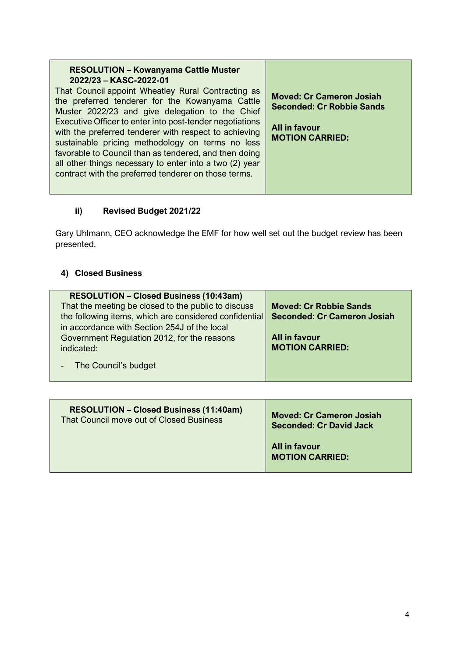# **ii) Revised Budget 2021/22**

Gary Uhlmann, CEO acknowledge the EMF for how well set out the budget review has been presented.

# **4) Closed Business**

| <b>RESOLUTION - Closed Business (10:43am)</b>          |                                    |
|--------------------------------------------------------|------------------------------------|
| That the meeting be closed to the public to discuss    | <b>Moved: Cr Robbie Sands</b>      |
| the following items, which are considered confidential | <b>Seconded: Cr Cameron Josiah</b> |
| in accordance with Section 254J of the local           |                                    |
| Government Regulation 2012, for the reasons            | <b>All in favour</b>               |
| indicated:                                             | <b>MOTION CARRIED:</b>             |
|                                                        |                                    |
| The Council's budget                                   |                                    |
|                                                        |                                    |

| <b>RESOLUTION - Closed Business (11:40am)</b> | <b>Moved: Cr Cameron Josiah</b>         |
|-----------------------------------------------|-----------------------------------------|
| That Council move out of Closed Business      | <b>Seconded: Cr David Jack</b>          |
|                                               | All in favour<br><b>MOTION CARRIED:</b> |